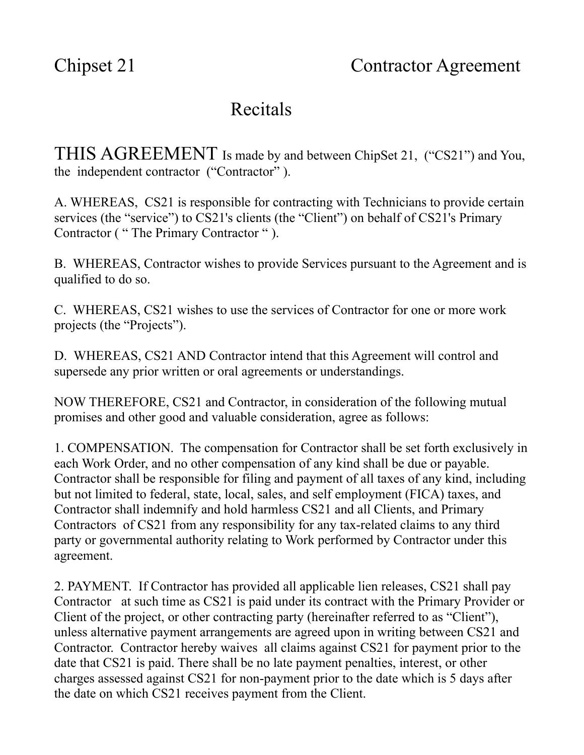## Recitals

THIS AGREEMENT Is made by and between ChipSet 21, ("CS21") and You, the independent contractor ("Contractor" ).

A. WHEREAS, CS21 is responsible for contracting with Technicians to provide certain services (the "service") to CS21's clients (the "Client") on behalf of CS21's Primary Contractor ( " The Primary Contractor " ).

B. WHEREAS, Contractor wishes to provide Services pursuant to the Agreement and is qualified to do so.

C. WHEREAS, CS21 wishes to use the services of Contractor for one or more work projects (the "Projects").

D. WHEREAS, CS21 AND Contractor intend that this Agreement will control and supersede any prior written or oral agreements or understandings.

NOW THEREFORE, CS21 and Contractor, in consideration of the following mutual promises and other good and valuable consideration, agree as follows:

1. COMPENSATION. The compensation for Contractor shall be set forth exclusively in each Work Order, and no other compensation of any kind shall be due or payable. Contractor shall be responsible for filing and payment of all taxes of any kind, including but not limited to federal, state, local, sales, and self employment (FICA) taxes, and Contractor shall indemnify and hold harmless CS21 and all Clients, and Primary Contractors of CS21 from any responsibility for any tax-related claims to any third party or governmental authority relating to Work performed by Contractor under this agreement.

2. PAYMENT. If Contractor has provided all applicable lien releases, CS21 shall pay Contractor at such time as CS21 is paid under its contract with the Primary Provider or Client of the project, or other contracting party (hereinafter referred to as "Client"), unless alternative payment arrangements are agreed upon in writing between CS21 and Contractor. Contractor hereby waives all claims against CS21 for payment prior to the date that CS21 is paid. There shall be no late payment penalties, interest, or other charges assessed against CS21 for non-payment prior to the date which is 5 days after the date on which CS21 receives payment from the Client.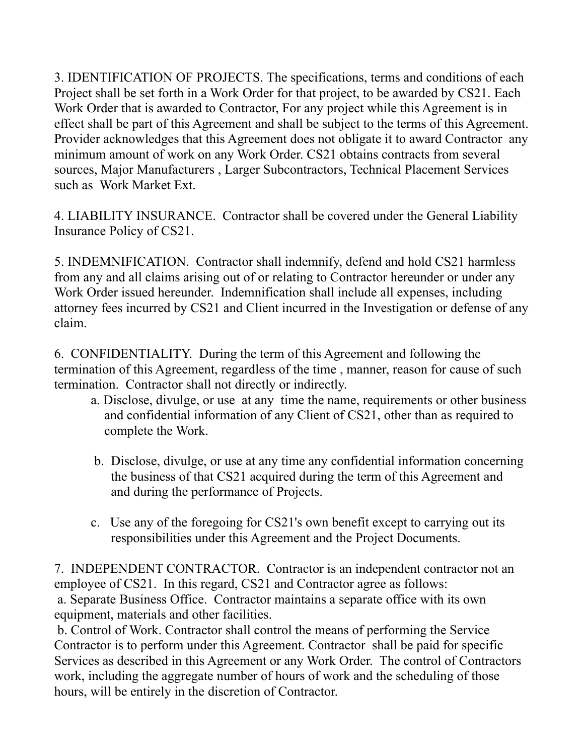3. IDENTIFICATION OF PROJECTS. The specifications, terms and conditions of each Project shall be set forth in a Work Order for that project, to be awarded by CS21. Each Work Order that is awarded to Contractor, For any project while this Agreement is in effect shall be part of this Agreement and shall be subject to the terms of this Agreement. Provider acknowledges that this Agreement does not obligate it to award Contractor any minimum amount of work on any Work Order. CS21 obtains contracts from several sources, Major Manufacturers , Larger Subcontractors, Technical Placement Services such as Work Market Ext.

4. LIABILITY INSURANCE. Contractor shall be covered under the General Liability Insurance Policy of CS21.

5. INDEMNIFICATION. Contractor shall indemnify, defend and hold CS21 harmless from any and all claims arising out of or relating to Contractor hereunder or under any Work Order issued hereunder. Indemnification shall include all expenses, including attorney fees incurred by CS21 and Client incurred in the Investigation or defense of any claim.

6. CONFIDENTIALITY. During the term of this Agreement and following the termination of this Agreement, regardless of the time , manner, reason for cause of such termination. Contractor shall not directly or indirectly.

- a. Disclose, divulge, or use at any time the name, requirements or other business and confidential information of any Client of CS21, other than as required to complete the Work.
- b. Disclose, divulge, or use at any time any confidential information concerning the business of that CS21 acquired during the term of this Agreement and and during the performance of Projects.
- c. Use any of the foregoing for CS21's own benefit except to carrying out its responsibilities under this Agreement and the Project Documents.

7. INDEPENDENT CONTRACTOR. Contractor is an independent contractor not an employee of CS21. In this regard, CS21 and Contractor agree as follows: a. Separate Business Office. Contractor maintains a separate office with its own equipment, materials and other facilities.

b. Control of Work. Contractor shall control the means of performing the Service Contractor is to perform under this Agreement. Contractor shall be paid for specific Services as described in this Agreement or any Work Order. The control of Contractors work, including the aggregate number of hours of work and the scheduling of those hours, will be entirely in the discretion of Contractor.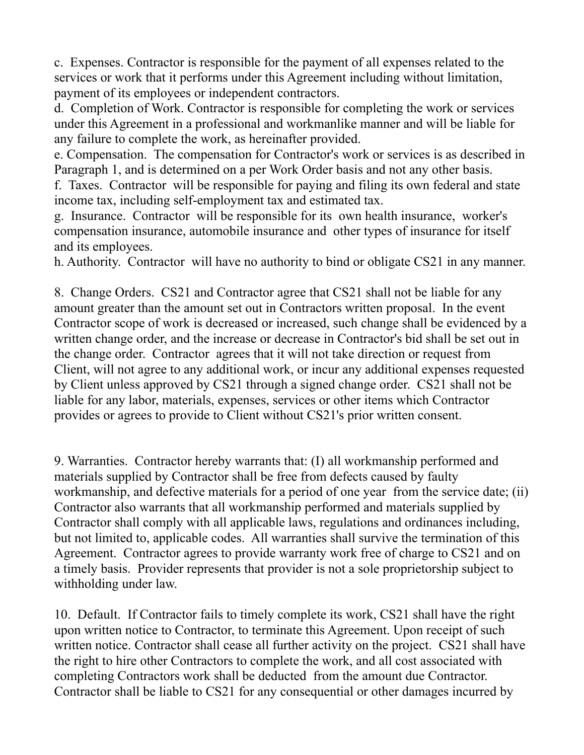c. Expenses. Contractor is responsible for the payment of all expenses related to the services or work that it performs under this Agreement including without limitation, payment of its employees or independent contractors.

d. Completion of Work. Contractor is responsible for completing the work or services under this Agreement in a professional and workmanlike manner and will be liable for any failure to complete the work, as hereinafter provided.

e. Compensation. The compensation for Contractor's work or services is as described in Paragraph 1, and is determined on a per Work Order basis and not any other basis.

f. Taxes. Contractor will be responsible for paying and filing its own federal and state income tax, including self-employment tax and estimated tax.

g. Insurance. Contractor will be responsible for its own health insurance, worker's compensation insurance, automobile insurance and other types of insurance for itself and its employees.

h. Authority. Contractor will have no authority to bind or obligate CS21 in any manner.

8. Change Orders. CS21 and Contractor agree that CS21 shall not be liable for any amount greater than the amount set out in Contractors written proposal. In the event Contractor scope of work is decreased or increased, such change shall be evidenced by a written change order, and the increase or decrease in Contractor's bid shall be set out in the change order. Contractor agrees that it will not take direction or request from Client, will not agree to any additional work, or incur any additional expenses requested by Client unless approved by CS21 through a signed change order. CS21 shall not be liable for any labor, materials, expenses, services or other items which Contractor provides or agrees to provide to Client without CS21's prior written consent.

9. Warranties. Contractor hereby warrants that: (I) all workmanship performed and materials supplied by Contractor shall be free from defects caused by faulty workmanship, and defective materials for a period of one year from the service date; (ii) Contractor also warrants that all workmanship performed and materials supplied by Contractor shall comply with all applicable laws, regulations and ordinances including, but not limited to, applicable codes. All warranties shall survive the termination of this Agreement. Contractor agrees to provide warranty work free of charge to CS21 and on a timely basis. Provider represents that provider is not a sole proprietorship subject to withholding under law.

10. Default. If Contractor fails to timely complete its work, CS21 shall have the right upon written notice to Contractor, to terminate this Agreement. Upon receipt of such written notice. Contractor shall cease all further activity on the project. CS21 shall have the right to hire other Contractors to complete the work, and all cost associated with completing Contractors work shall be deducted from the amount due Contractor. Contractor shall be liable to CS21 for any consequential or other damages incurred by